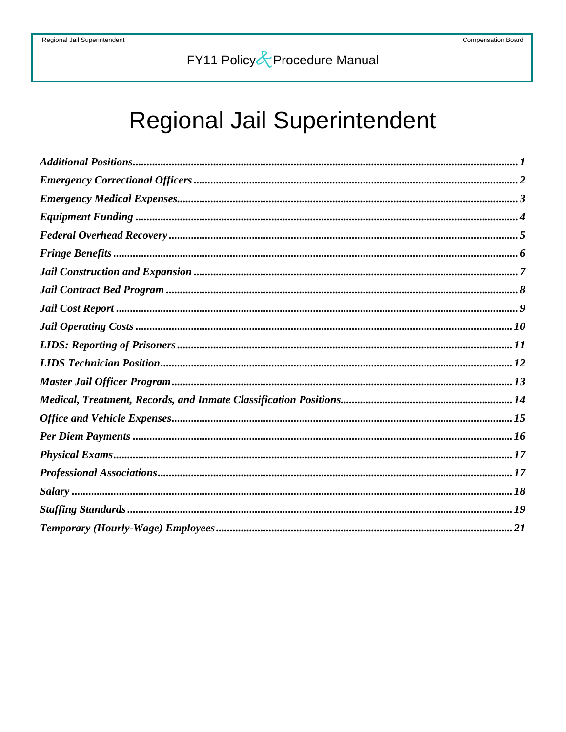# Regional Jail Superintendent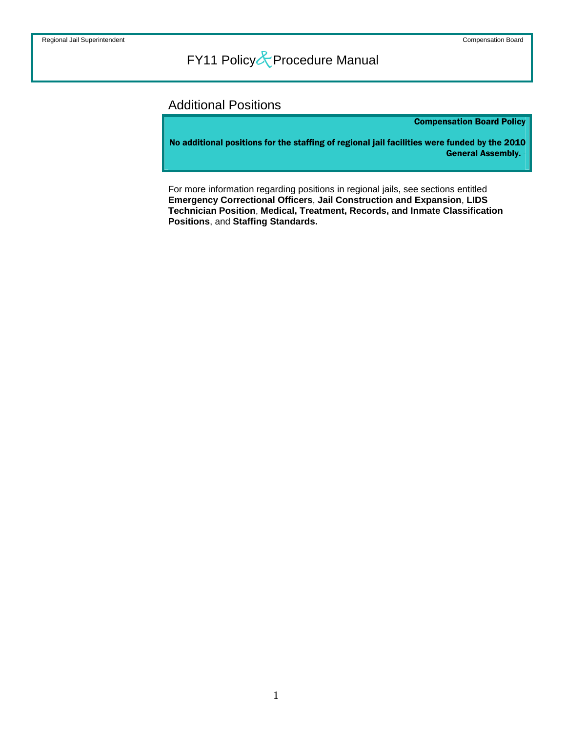### <span id="page-1-0"></span>Additional Positions

Compensation Board Policy

No additional positions for the staffing of regional jail facilities were funded by the 2010 General Assembly.

For more information regarding positions in regional jails, see sections entitled **Emergency Correctional Officers**, **Jail Construction and Expansion**, **LIDS Technician Position**, **Medical, Treatment, Records, and Inmate Classification Positions**, and **Staffing Standards.**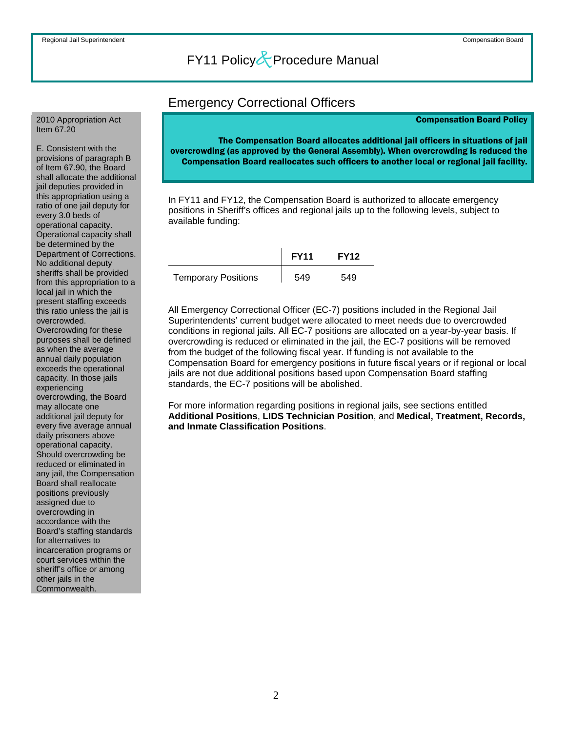#### <span id="page-2-0"></span>2010 Appropriation Act Item 67.20

E. Consistent with the provisions of paragraph B of Item 67.90, the Board shall allocate the additional jail deputies provided in this appropriation using a ratio of one jail deputy for every 3.0 beds of operational capacity. Operational capacity shall be determined by the Department of Corrections. No additional deputy sheriffs shall be provided from this appropriation to a local jail in which the present staffing exceeds this ratio unless the jail is overcrowded. Overcrowding for these purposes shall be defined as when the average annual daily population exceeds the operational capacity. In those jails experiencing overcrowding, the Board may allocate one additional jail deputy for every five average annual daily prisoners above operational capacity. Should overcrowding be reduced or eliminated in any jail, the Compensation Board shall reallocate positions previously assigned due to overcrowding in accordance with the Board's staffing standards for alternatives to incarceration programs or court services within the sheriff's office or among other jails in the Commonwealth.

### Emergency Correctional Officers

#### Compensation Board Policy

The Compensation Board allocates additional jail officers in situations of jail overcrowding (as approved by the General Assembly). When overcrowding is reduced the Compensation Board reallocates such officers to another local or regional jail facility.

In FY11 and FY12, the Compensation Board is authorized to allocate emergency positions in Sheriff's offices and regional jails up to the following levels, subject to available funding:

|                            | <b>FY11</b> | <b>FY12</b> |
|----------------------------|-------------|-------------|
| <b>Temporary Positions</b> | 549         | 549         |

All Emergency Correctional Officer (EC-7) positions included in the Regional Jail Superintendents' current budget were allocated to meet needs due to overcrowded conditions in regional jails. All EC-7 positions are allocated on a year-by-year basis. If overcrowding is reduced or eliminated in the jail, the EC-7 positions will be removed from the budget of the following fiscal year. If funding is not available to the Compensation Board for emergency positions in future fiscal years or if regional or local jails are not due additional positions based upon Compensation Board staffing standards, the EC-7 positions will be abolished.

For more information regarding positions in regional jails, see sections entitled **Additional Positions**, **LIDS Technician Position**, and **Medical, Treatment, Records, and Inmate Classification Positions**.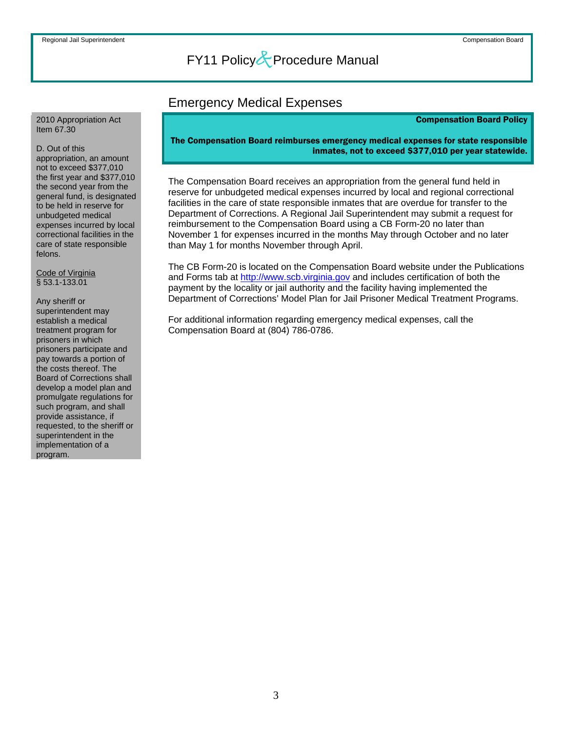### Emergency Medical Expenses

#### Compensation Board Policy

#### <span id="page-3-0"></span>2010 Appropriation Act Item 67.30

#### D. Out of this

appropriation, an amount not to exceed \$377,010 the first year and \$377,010 the second year from the general fund, is designated to be held in reserve for unbudgeted medical expenses incurred by local correctional facilities in the care of state responsible felons.

Code of Virginia § 53.1-133.01

Any sheriff or superintendent may establish a medical treatment program for prisoners in which prisoners participate and pay towards a portion of the costs thereof. The Board of Corrections shall develop a model plan and promulgate regulations for such program, and shall provide assistance, if requested, to the sheriff or superintendent in the implementation of a program.

#### The Compensation Board reimburses emergency medical expenses for state responsible inmates, not to exceed \$377,010 per year statewide.

The Compensation Board receives an appropriation from the general fund held in reserve for unbudgeted medical expenses incurred by local and regional correctional facilities in the care of state responsible inmates that are overdue for transfer to the Department of Corrections. A Regional Jail Superintendent may submit a request for reimbursement to the Compensation Board using a CB Form-20 no later than November 1 for expenses incurred in the months May through October and no later than May 1 for months November through April.

The CB Form-20 is located on the Compensation Board website under the Publications and Forms tab at [http://www.scb.virginia.gov](http://www.scb.virginia.gov/) and includes certification of both the payment by the locality or jail authority and the facility having implemented the Department of Corrections' Model Plan for Jail Prisoner Medical Treatment Programs.

For additional information regarding emergency medical expenses, call the Compensation Board at (804) 786-0786.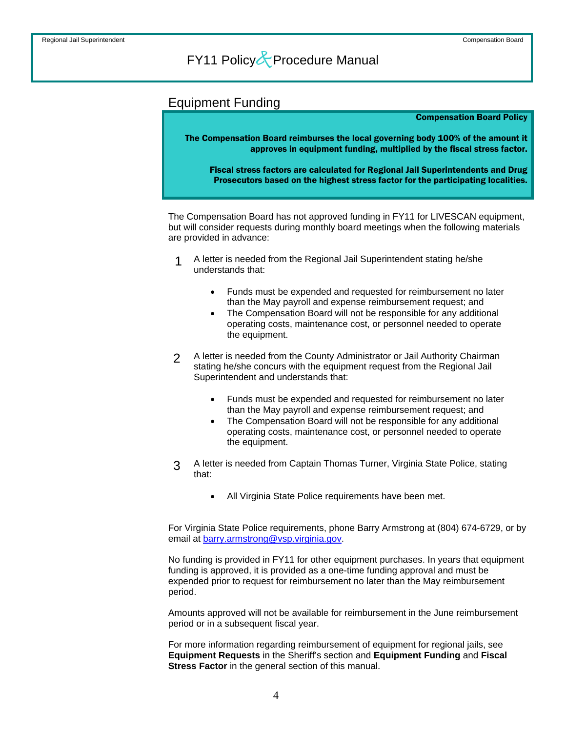### <span id="page-4-0"></span>Equipment Funding

#### Compensation Board Policy

The Compensation Board reimburses the local governing body 100% of the amount it approves in equipment funding, multiplied by the fiscal stress factor.

Fiscal stress factors are calculated for Regional Jail Superintendents and Drug Prosecutors based on the highest stress factor for the participating localities.

The Compensation Board has not approved funding in FY11 for LIVESCAN equipment, but will consider requests during monthly board meetings when the following materials are provided in advance:

- A letter is needed from the Regional Jail Superintendent stating he/she understands that: 1
	- Funds must be expended and requested for reimbursement no later than the May payroll and expense reimbursement request; and
	- The Compensation Board will not be responsible for any additional operating costs, maintenance cost, or personnel needed to operate the equipment.
- A letter is needed from the County Administrator or Jail Authority Chairman stating he/she concurs with the equipment request from the Regional Jail Superintendent and understands that: 2
	- Funds must be expended and requested for reimbursement no later than the May payroll and expense reimbursement request; and
	- The Compensation Board will not be responsible for any additional operating costs, maintenance cost, or personnel needed to operate the equipment.
- A letter is needed from Captain Thomas Turner, Virginia State Police, stating that: 3
	- All Virginia State Police requirements have been met.

For Virginia State Police requirements, phone Barry Armstrong at (804) 674-6729, or by email at [barry.armstrong@vsp.virginia.gov.](mailto:barry.armstrong@vsp.virginia.gov)

No funding is provided in FY11 for other equipment purchases. In years that equipment funding is approved, it is provided as a one-time funding approval and must be expended prior to request for reimbursement no later than the May reimbursement period.

Amounts approved will not be available for reimbursement in the June reimbursement period or in a subsequent fiscal year.

For more information regarding reimbursement of equipment for regional jails, see **Equipment Requests** in the Sheriff's section and **Equipment Funding** and **Fiscal Stress Factor** in the general section of this manual.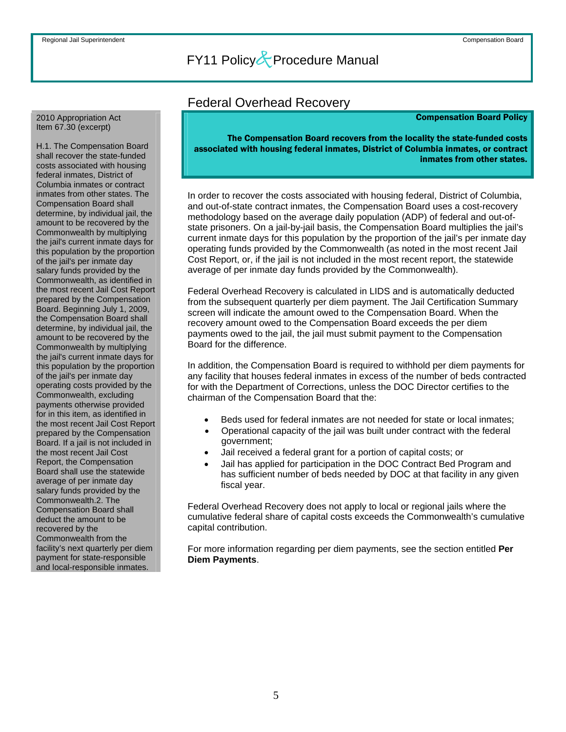#### <span id="page-5-0"></span>2010 Appropriation Act Item 67.30 (excerpt)

H.1. The Compensation Board shall recover the state-funded costs associated with housing federal inmates, District of Columbia inmates or contract inmates from other states. The Compensation Board shall determine, by individual jail, the amount to be recovered by the Commonwealth by multiplying the jail's current inmate days for this population by the proportion of the jail's per inmate day salary funds provided by the Commonwealth, as identified in the most recent Jail Cost Report prepared by the Compensation Board. Beginning July 1, 2009, the Compensation Board shall determine, by individual jail, the amount to be recovered by the Commonwealth by multiplying the jail's current inmate days for this population by the proportion of the jail's per inmate day operating costs provided by the Commonwealth, excluding payments otherwise provided for in this item, as identified in the most recent Jail Cost Report prepared by the Compensation Board. If a jail is not included in the most recent Jail Cost Report, the Compensation Board shall use the statewide average of per inmate day salary funds provided by the Commonwealth.2. The Compensation Board shall deduct the amount to be recovered by the Commonwealth from the facility's next quarterly per diem payment for state-responsible and local-responsible inmates.

### Federal Overhead Recovery

#### Compensation Board Policy

The Compensation Board recovers from the locality the state-funded costs associated with housing federal inmates, District of Columbia inmates, or contract inmates from other states.

In order to recover the costs associated with housing federal, District of Columbia, and out-of-state contract inmates, the Compensation Board uses a cost-recovery methodology based on the average daily population (ADP) of federal and out-ofstate prisoners. On a jail-by-jail basis, the Compensation Board multiplies the jail's current inmate days for this population by the proportion of the jail's per inmate day operating funds provided by the Commonwealth (as noted in the most recent Jail Cost Report, or, if the jail is not included in the most recent report, the statewide average of per inmate day funds provided by the Commonwealth).

Federal Overhead Recovery is calculated in LIDS and is automatically deducted from the subsequent quarterly per diem payment. The Jail Certification Summary screen will indicate the amount owed to the Compensation Board. When the recovery amount owed to the Compensation Board exceeds the per diem payments owed to the jail, the jail must submit payment to the Compensation Board for the difference.

In addition, the Compensation Board is required to withhold per diem payments for any facility that houses federal inmates in excess of the number of beds contracted for with the Department of Corrections, unless the DOC Director certifies to the chairman of the Compensation Board that the:

- Beds used for federal inmates are not needed for state or local inmates;
- Operational capacity of the jail was built under contract with the federal government;
- Jail received a federal grant for a portion of capital costs; or
- Jail has applied for participation in the DOC Contract Bed Program and has sufficient number of beds needed by DOC at that facility in any given fiscal year.

Federal Overhead Recovery does not apply to local or regional jails where the cumulative federal share of capital costs exceeds the Commonwealth's cumulative capital contribution.

For more information regarding per diem payments, see the section entitled **Per Diem Payments**.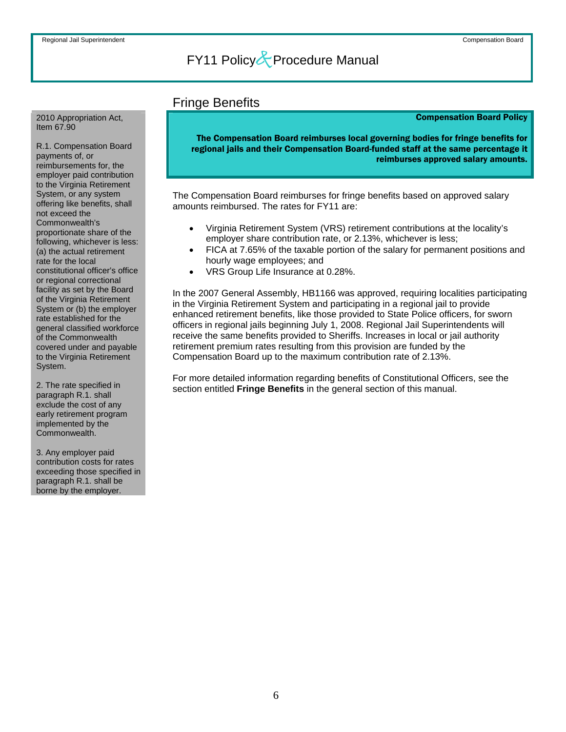### Fringe Benefits

#### Compensation Board Policy

The Compensation Board reimburses local governing bodies for fringe benefits for regional jails and their Compensation Board-funded staff at the same percentage it reimburses approved salary amounts.

The Compensation Board reimburses for fringe benefits based on approved salary amounts reimbursed. The rates for FY11 are:

- Virginia Retirement System (VRS) retirement contributions at the locality's employer share contribution rate, or 2.13%, whichever is less;
- FICA at 7.65% of the taxable portion of the salary for permanent positions and hourly wage employees; and
- VRS Group Life Insurance at 0.28%.

In the 2007 General Assembly, HB1166 was approved, requiring localities participating in the Virginia Retirement System and participating in a regional jail to provide enhanced retirement benefits, like those provided to State Police officers, for sworn officers in regional jails beginning July 1, 2008. Regional Jail Superintendents will receive the same benefits provided to Sheriffs. Increases in local or jail authority retirement premium rates resulting from this provision are funded by the Compensation Board up to the maximum contribution rate of 2.13%.

For more detailed information regarding benefits of Constitutional Officers, see the section entitled **Fringe Benefits** in the general section of this manual.

<span id="page-6-0"></span>2010 Appropriation Act, Item 67.90

R.1. Compensation Board payments of, or reimbursements for, the employer paid contribution to the Virginia Retirement System, or any system offering like benefits, shall not exceed the Commonwealth's proportionate share of the following, whichever is less: (a) the actual retirement rate for the local constitutional officer's office or regional correctional facility as set by the Board of the Virginia Retirement System or (b) the employer rate established for the general classified workforce of the Commonwealth covered under and payable to the Virginia Retirement System.

2. The rate specified in paragraph R.1. shall exclude the cost of any early retirement program implemented by the Commonwealth.

3. Any employer paid contribution costs for rates exceeding those specified in paragraph R.1. shall be borne by the employer.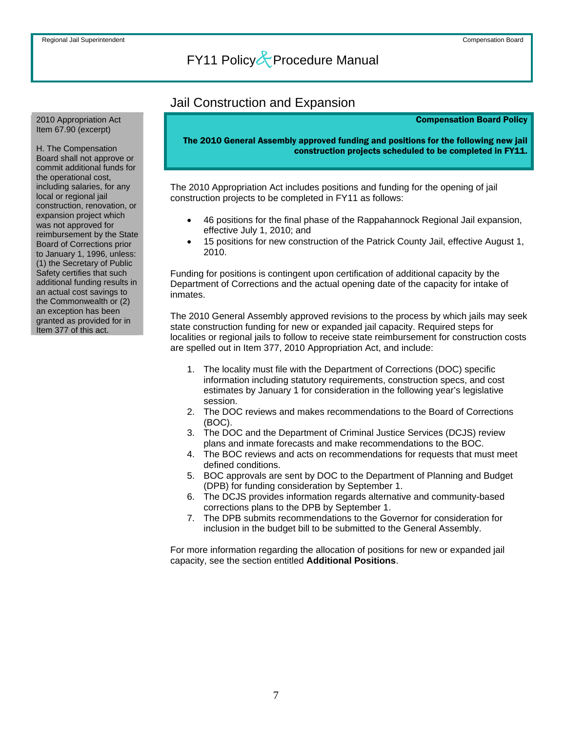#### <span id="page-7-0"></span>2010 Appropriation Act Item 67.90 (excerpt)

H. The Compensation Board shall not approve or commit additional funds for the operational cost, including salaries, for any local or regional jail construction, renovation, or expansion project which was not approved for reimbursement by the State Board of Corrections prior to January 1, 1996, unless: (1) the Secretary of Public Safety certifies that such additional funding results in an actual cost savings to the Commonwealth or (2) an exception has been granted as provided for in Item 377 of this act.

### Jail Construction and Expansion

#### Compensation Board Policy

The 2010 General Assembly approved funding and positions for the following new jail construction projects scheduled to be completed in FY11.

The 2010 Appropriation Act includes positions and funding for the opening of jail construction projects to be completed in FY11 as follows:

- 46 positions for the final phase of the Rappahannock Regional Jail expansion, effective July 1, 2010; and
- 15 positions for new construction of the Patrick County Jail, effective August 1, 2010.

Funding for positions is contingent upon certification of additional capacity by the Department of Corrections and the actual opening date of the capacity for intake of inmates.

The 2010 General Assembly approved revisions to the process by which jails may seek state construction funding for new or expanded jail capacity. Required steps for localities or regional jails to follow to receive state reimbursement for construction costs are spelled out in Item 377, 2010 Appropriation Act, and include:

- 1. The locality must file with the Department of Corrections (DOC) specific information including statutory requirements, construction specs, and cost estimates by January 1 for consideration in the following year's legislative session.
- 2. The DOC reviews and makes recommendations to the Board of Corrections (BOC).
- 3. The DOC and the Department of Criminal Justice Services (DCJS) review plans and inmate forecasts and make recommendations to the BOC.
- 4. The BOC reviews and acts on recommendations for requests that must meet defined conditions.
- 5. BOC approvals are sent by DOC to the Department of Planning and Budget (DPB) for funding consideration by September 1.
- 6. The DCJS provides information regards alternative and community-based corrections plans to the DPB by September 1.
- 7. The DPB submits recommendations to the Governor for consideration for inclusion in the budget bill to be submitted to the General Assembly.

For more information regarding the allocation of positions for new or expanded jail capacity, see the section entitled **Additional Positions**.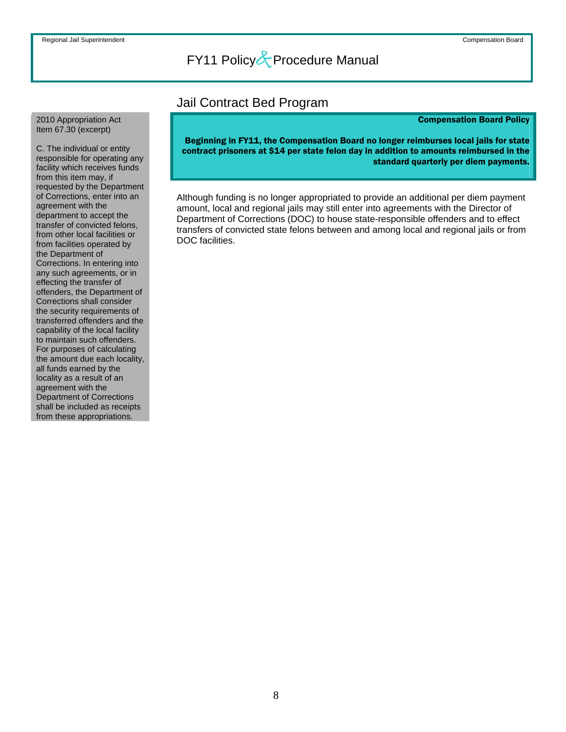### Jail Contract Bed Program

#### Compensation Board Policy

Beginning in FY11, the Compensation Board no longer reimburses local jails for state contract prisoners at \$14 per state felon day in addition to amounts reimbursed in the standard quarterly per diem payments.

Although funding is no longer appropriated to provide an additional per diem payment amount, local and regional jails may still enter into agreements with the Director of Department of Corrections (DOC) to house state-responsible offenders and to effect transfers of convicted state felons between and among local and regional jails or from DOC facilities.

<span id="page-8-0"></span>2010 Appropriation Act Item 67.30 (excerpt)

C. The individual or entity responsible for operating any facility which receives funds from this item may, if requested by the Department of Corrections, enter into an agreement with the department to accept the transfer of convicted felons, from other local facilities or from facilities operated by the Department of Corrections. In entering into any such agreements, or in effecting the transfer of offenders, the Department of Corrections shall consider the security requirements of transferred offenders and the capability of the local facility to maintain such offenders. For purposes of calculating the amount due each locality, all funds earned by the locality as a result of an agreement with the Department of Corrections shall be included as receipts from these appropriations.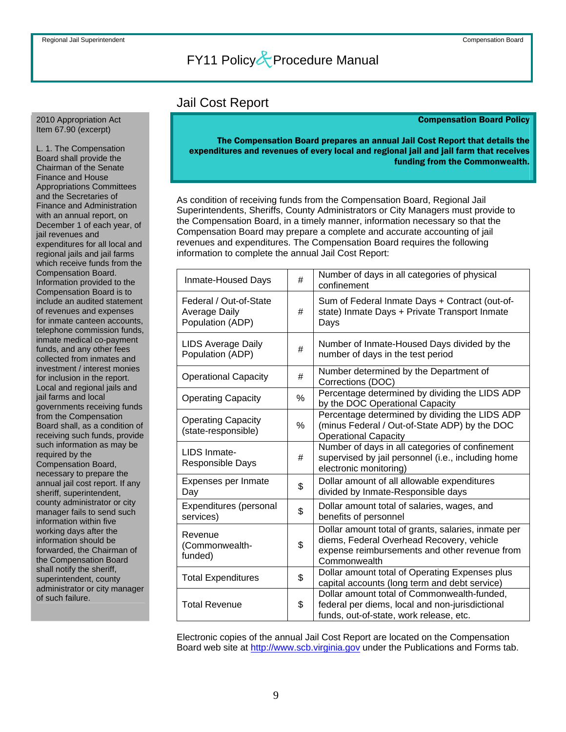### Jail Cost Report

#### Compensation Board Policy

#### The Compensation Board prepares an annual Jail Cost Report that details the expenditures and revenues of every local and regional jail and jail farm that receives funding from the Commonwealth.

As condition of receiving funds from the Compensation Board, Regional Jail Superintendents, Sheriffs, County Administrators or City Managers must provide to the Compensation Board, in a timely manner, information necessary so that the Compensation Board may prepare a complete and accurate accounting of jail revenues and expenditures. The Compensation Board requires the following information to complete the annual Jail Cost Report:

| Inmate-Housed Days                                                 | #  | Number of days in all categories of physical<br>confinement                                                                                                       |
|--------------------------------------------------------------------|----|-------------------------------------------------------------------------------------------------------------------------------------------------------------------|
| Federal / Out-of-State<br><b>Average Daily</b><br>Population (ADP) | #  | Sum of Federal Inmate Days + Contract (out-of-<br>state) Inmate Days + Private Transport Inmate<br>Days                                                           |
| <b>LIDS Average Daily</b><br>Population (ADP)                      | #  | Number of Inmate-Housed Days divided by the<br>number of days in the test period                                                                                  |
| <b>Operational Capacity</b>                                        | #  | Number determined by the Department of<br>Corrections (DOC)                                                                                                       |
| <b>Operating Capacity</b>                                          | %  | Percentage determined by dividing the LIDS ADP<br>by the DOC Operational Capacity                                                                                 |
| <b>Operating Capacity</b><br>(state-responsible)                   | %  | Percentage determined by dividing the LIDS ADP<br>(minus Federal / Out-of-State ADP) by the DOC<br><b>Operational Capacity</b>                                    |
| LIDS Inmate-<br>Responsible Days                                   | #  | Number of days in all categories of confinement<br>supervised by jail personnel (i.e., including home<br>electronic monitoring)                                   |
| Expenses per Inmate<br>Day                                         | \$ | Dollar amount of all allowable expenditures<br>divided by Inmate-Responsible days                                                                                 |
| Expenditures (personal<br>services)                                | \$ | Dollar amount total of salaries, wages, and<br>benefits of personnel                                                                                              |
| Revenue<br>(Commonwealth-<br>funded)                               | \$ | Dollar amount total of grants, salaries, inmate per<br>diems, Federal Overhead Recovery, vehicle<br>expense reimbursements and other revenue from<br>Commonwealth |
| <b>Total Expenditures</b>                                          | \$ | Dollar amount total of Operating Expenses plus<br>capital accounts (long term and debt service)                                                                   |
| <b>Total Revenue</b>                                               | \$ | Dollar amount total of Commonwealth-funded,<br>federal per diems, local and non-jurisdictional<br>funds, out-of-state, work release, etc.                         |

Electronic copies of the annual Jail Cost Report are located on the Compensation Board web site at [http://www.scb.virginia.gov](http://www.scb.virginia.gov/) under the Publications and Forms tab.

<span id="page-9-0"></span>2010 Appropriation Act Item 67.90 (excerpt)

L. 1. The Compensation Board shall provide the Chairman of the Senate Finance and House Appropriations Committees and the Secretaries of Finance and Administration with an annual report, on December 1 of each year, of jail revenues and expenditures for all local and regional jails and jail farms which receive funds from the Compensation Board. Information provided to the Compensation Board is to include an audited statement of revenues and expenses for inmate canteen accounts, telephone commission funds, inmate medical co-payment funds, and any other fees collected from inmates and investment / interest monies for inclusion in the report. Local and regional jails and jail farms and local governments receiving funds from the Compensation Board shall, as a condition of receiving such funds, provide such information as may be required by the Compensation Board, necessary to prepare the annual jail cost report. If any sheriff, superintendent, county administrator or city manager fails to send such information within five working days after the information should be forwarded, the Chairman of the Compensation Board shall notify the sheriff, superintendent, county administrator or city manager of such failure.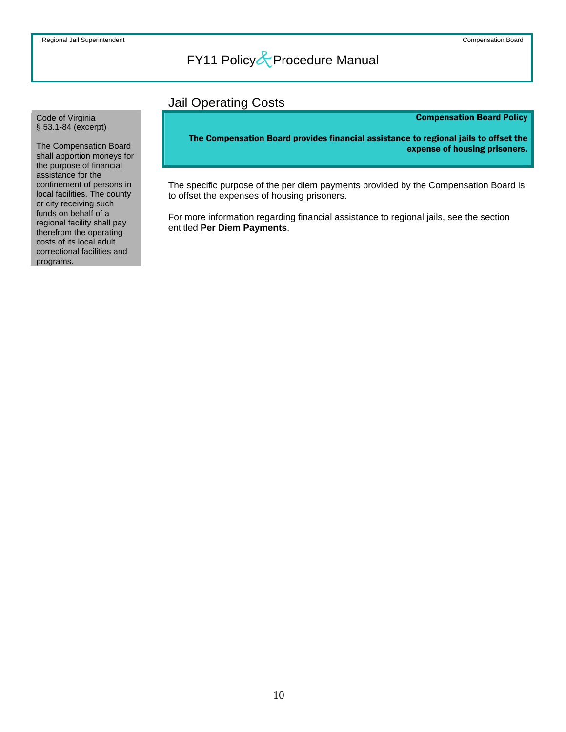### Jail Operating Costs

#### Compensation Board Policy

The Compensation Board provides financial assistance to regional jails to offset the expense of housing prisoners.

The specific purpose of the per diem payments provided by the Compensation Board is to offset the expenses of housing prisoners.

For more information regarding financial assistance to regional jails, see the section entitled **Per Diem Payments**.

<span id="page-10-0"></span>Code of Virginia § 53.1-84 (excerpt)

The Compensation Board shall apportion moneys for the purpose of financial assistance for the confinement of persons in local facilities. The county or city receiving such funds on behalf of a regional facility shall pay therefrom the operating costs of its local adult correctional facilities and programs.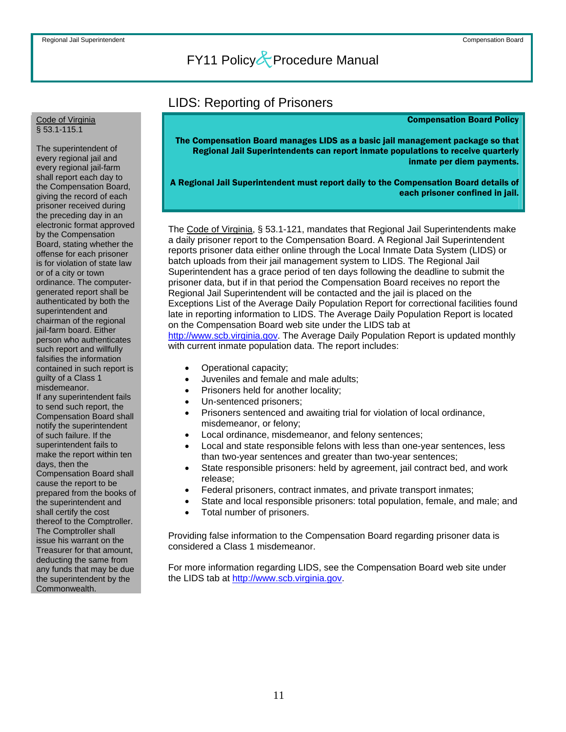### LIDS: Reporting of Prisoners

#### Compensation Board Policy

The Compensation Board manages LIDS as a basic jail management package so that Regional Jail Superintendents can report inmate populations to receive quarterly inmate per diem payments.

A Regional Jail Superintendent must report daily to the Compensation Board details of each prisoner confined in jail.

The Code of Virginia, § 53.1-121, mandates that Regional Jail Superintendents make a daily prisoner report to the Compensation Board. A Regional Jail Superintendent reports prisoner data either online through the Local Inmate Data System (LIDS) or batch uploads from their jail management system to LIDS. The Regional Jail Superintendent has a grace period of ten days following the deadline to submit the prisoner data, but if in that period the Compensation Board receives no report the Regional Jail Superintendent will be contacted and the jail is placed on the Exceptions List of the Average Daily Population Report for correctional facilities found late in reporting information to LIDS. The Average Daily Population Report is located on the Compensation Board web site under the LIDS tab at [http://www.scb.virginia.gov](http://www.scb.virginia.gov/). The Average Daily Population Report is updated monthly with current inmate population data. The report includes:

- Operational capacity;
- Juveniles and female and male adults;
- Prisoners held for another locality;
- Un-sentenced prisoners;
- Prisoners sentenced and awaiting trial for violation of local ordinance, misdemeanor, or felony;
- Local ordinance, misdemeanor, and felony sentences;
- Local and state responsible felons with less than one-year sentences, less than two-year sentences and greater than two-year sentences;
- State responsible prisoners: held by agreement, jail contract bed, and work release;
- Federal prisoners, contract inmates, and private transport inmates;
- State and local responsible prisoners: total population, female, and male; and
- Total number of prisoners.

Providing false information to the Compensation Board regarding prisoner data is considered a Class 1 misdemeanor.

For more information regarding LIDS, see the Compensation Board web site under the LIDS tab at [http://www.scb.virginia.gov.](http://www.scb.virginia.gov/)

#### <span id="page-11-0"></span>Code of Virginia § 53.1-115.1

The superintendent of every regional jail and every regional jail-farm shall report each day to the Compensation Board, giving the record of each prisoner received during the preceding day in an electronic format approved by the Compensation Board, stating whether the offense for each prisoner is for violation of state law or of a city or town ordinance. The computergenerated report shall be authenticated by both the superintendent and chairman of the regional jail-farm board. Either person who authenticates such report and willfully falsifies the information contained in such report is guilty of a Class 1 misdemeanor. If any superintendent fails to send such report, the Compensation Board shall notify the superintendent of such failure. If the superintendent fails to make the report within ten days, then the Compensation Board shall cause the report to be prepared from the books of the superintendent and shall certify the cost thereof to the Comptroller. The Comptroller shall issue his warrant on the Treasurer for that amount, deducting the same from any funds that may be due the superintendent by the Commonwealth.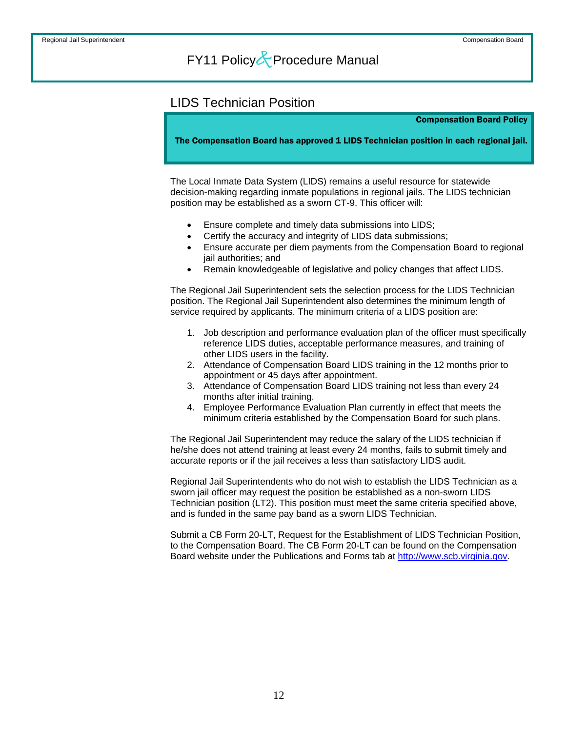### <span id="page-12-0"></span>LIDS Technician Position

Compensation Board Policy

The Compensation Board has approved 1 LIDS Technician position in each regional jail.

The Local Inmate Data System (LIDS) remains a useful resource for statewide decision-making regarding inmate populations in regional jails. The LIDS technician position may be established as a sworn CT-9. This officer will:

- Ensure complete and timely data submissions into LIDS;
- Certify the accuracy and integrity of LIDS data submissions;
- Ensure accurate per diem payments from the Compensation Board to regional jail authorities; and
- Remain knowledgeable of legislative and policy changes that affect LIDS.

The Regional Jail Superintendent sets the selection process for the LIDS Technician position. The Regional Jail Superintendent also determines the minimum length of service required by applicants. The minimum criteria of a LIDS position are:

- 1. Job description and performance evaluation plan of the officer must specifically reference LIDS duties, acceptable performance measures, and training of other LIDS users in the facility.
- 2. Attendance of Compensation Board LIDS training in the 12 months prior to appointment or 45 days after appointment.
- 3. Attendance of Compensation Board LIDS training not less than every 24 months after initial training.
- 4. Employee Performance Evaluation Plan currently in effect that meets the minimum criteria established by the Compensation Board for such plans.

The Regional Jail Superintendent may reduce the salary of the LIDS technician if he/she does not attend training at least every 24 months, fails to submit timely and accurate reports or if the jail receives a less than satisfactory LIDS audit.

Regional Jail Superintendents who do not wish to establish the LIDS Technician as a sworn jail officer may request the position be established as a non-sworn LIDS Technician position (LT2). This position must meet the same criteria specified above, and is funded in the same pay band as a sworn LIDS Technician.

Submit a CB Form 20-LT, Request for the Establishment of LIDS Technician Position, to the Compensation Board. The CB Form 20-LT can be found on the Compensation Board website under the Publications and Forms tab at [http://www.scb.virginia.gov.](http://www.scb.virginia.gov/)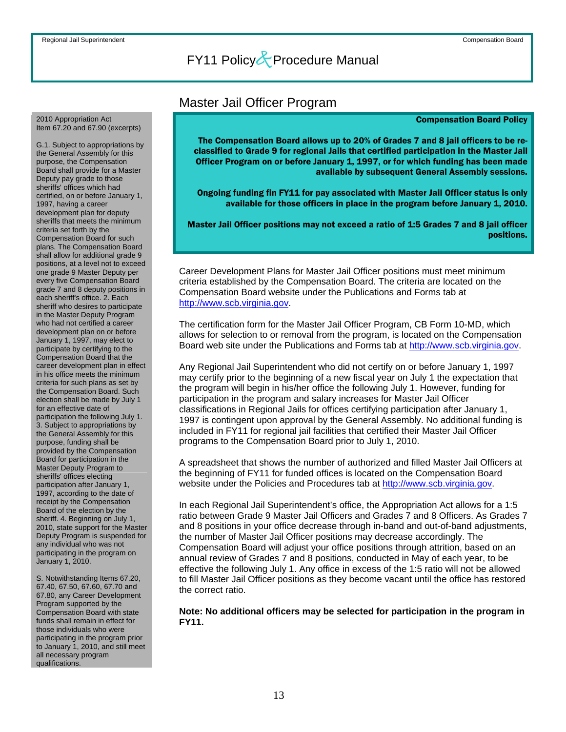### Master Jail Officer Program

#### Compensation Board Policy

The Compensation Board allows up to 20% of Grades 7 and 8 jail officers to be reclassified to Grade 9 for regional Jails that certified participation in the Master Jail Officer Program on or before January 1, 1997, or for which funding has been made available by subsequent General Assembly sessions.

Ongoing funding fin FY11 for pay associated with Master Jail Officer status is only available for those officers in place in the program before January 1, 2010.

Master Jail Officer positions may not exceed a ratio of 1:5 Grades 7 and 8 jail officer positions.

Career Development Plans for Master Jail Officer positions must meet minimum criteria established by the Compensation Board. The criteria are located on the Compensation Board website under the Publications and Forms tab at [http://www.scb.virginia.gov](http://www.scb.virginia.gov/).

The certification form for the Master Jail Officer Program, CB Form 10-MD, which allows for selection to or removal from the program, is located on the Compensation Board web site under the Publications and Forms tab at [http://www.scb.virginia.gov](http://www.scb.virginia.gov/).

Any Regional Jail Superintendent who did not certify on or before January 1, 1997 may certify prior to the beginning of a new fiscal year on July 1 the expectation that the program will begin in his/her office the following July 1. However, funding for participation in the program and salary increases for Master Jail Officer classifications in Regional Jails for offices certifying participation after January 1, 1997 is contingent upon approval by the General Assembly. No additional funding is included in FY11 for regional jail facilities that certified their Master Jail Officer programs to the Compensation Board prior to July 1, 2010.

A spreadsheet that shows the number of authorized and filled Master Jail Officers at the beginning of FY11 for funded offices is located on the Compensation Board website under the Policies and Procedures tab at [http://www.scb.virginia.gov](http://www.scb.virginia.gov/).

In each Regional Jail Superintendent's office, the Appropriation Act allows for a 1:5 ratio between Grade 9 Master Jail Officers and Grades 7 and 8 Officers. As Grades 7 and 8 positions in your office decrease through in-band and out-of-band adjustments, the number of Master Jail Officer positions may decrease accordingly. The Compensation Board will adjust your office positions through attrition, based on an annual review of Grades 7 and 8 positions, conducted in May of each year, to be effective the following July 1. Any office in excess of the 1:5 ratio will not be allowed to fill Master Jail Officer positions as they become vacant until the office has restored the correct ratio.

**Note: No additional officers may be selected for participation in the program in FY11.**

<span id="page-13-0"></span>2010 Appropriation Act Item 67.20 and 67.90 (excerpts)

G.1. Subject to appropriations by the General Assembly for this purpose, the Compensation Board shall provide for a Master Deputy pay grade to those sheriffs' offices which had certified, on or before January 1, 1997, having a career development plan for deputy sheriffs that meets the minimum criteria set forth by the Compensation Board for such plans. The Compensation Board shall allow for additional grade 9 positions, at a level not to exceed one grade 9 Master Deputy per every five Compensation Board grade 7 and 8 deputy positions in each sheriff's office. 2. Each sheriff who desires to participate in the Master Deputy Program who had not certified a career development plan on or before January 1, 1997, may elect to participate by certifying to the Compensation Board that the career development plan in effect in his office meets the minimum criteria for such plans as set by the Compensation Board. Such election shall be made by July 1 for an effective date of participation the following July 1. 3. Subject to appropriations by the General Assembly for this purpose, funding shall be provided by the Compensation Board for participation in the Master Deputy Program to sheriffs' offices electing participation after January 1, 1997, according to the date of receipt by the Compensation Board of the election by the sheriff. 4. Beginning on July 1, 2010, state support for the Master Deputy Program is suspended for any individual who was not participating in the program on January 1, 2010.

S. Notwithstanding Items 67.20, 67.40, 67.50, 67.60, 67.70 and 67.80, any Career Development Program supported by the Compensation Board with state funds shall remain in effect for those individuals who were participating in the program prior to January 1, 2010, and still meet all necessary program qualifications.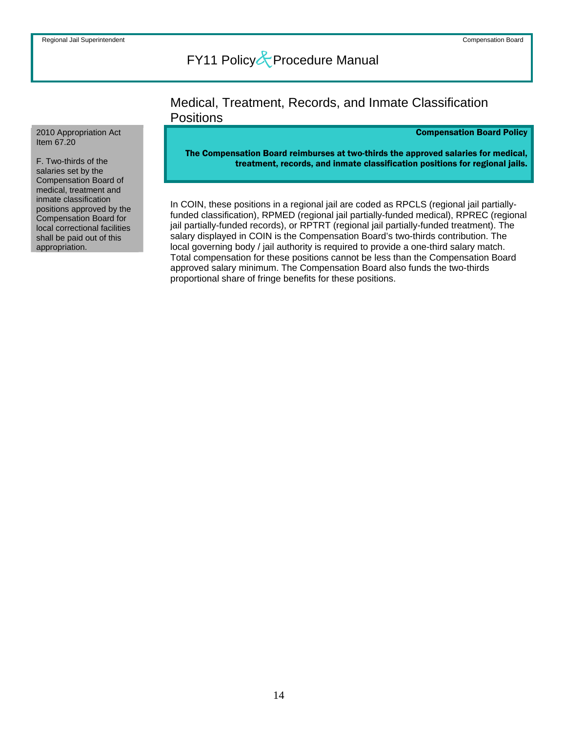### Medical, Treatment, Records, and Inmate Classification **Positions**

#### Compensation Board Policy

The Compensation Board reimburses at two-thirds the approved salaries for medical, treatment, records, and inmate classification positions for regional jails.

In COIN, these positions in a regional jail are coded as RPCLS (regional jail partiallyfunded classification), RPMED (regional jail partially-funded medical), RPREC (regional jail partially-funded records), or RPTRT (regional jail partially-funded treatment). The salary displayed in COIN is the Compensation Board's two-thirds contribution. The local governing body / jail authority is required to provide a one-third salary match. Total compensation for these positions cannot be less than the Compensation Board approved salary minimum. The Compensation Board also funds the two-thirds proportional share of fringe benefits for these positions.

#### <span id="page-14-0"></span>2010 Appropriation Act Item 67.20

F. Two-thirds of the salaries set by the Compensation Board of medical, treatment and inmate classification positions approved by the Compensation Board for local correctional facilities shall be paid out of this appropriation.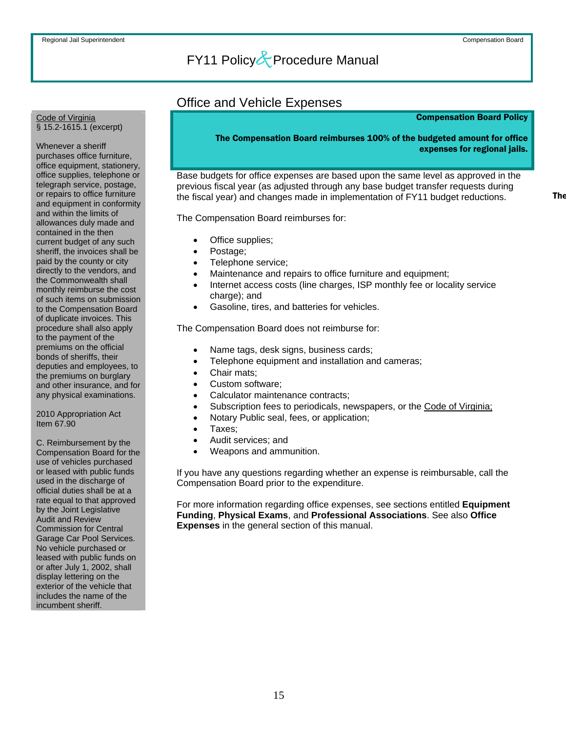### Office and Vehicle Expenses

#### Compensation Board Policy

The Compensation Board reimburses 100% of the budgeted amount for office expenses for regional jails.

Base budgets for office expenses are based upon the same level as approved in the previous fiscal year (as adjusted through any base budget transfer requests during the fiscal year) and changes made in implementation of FY11 budget reductions.

The Compensation Board reimburses for:

- Office supplies;
- Postage:
- Telephone service;
- Maintenance and repairs to office furniture and equipment;
- Internet access costs (line charges, ISP monthly fee or locality service charge); and
- Gasoline, tires, and batteries for vehicles.

The Compensation Board does not reimburse for:

- Name tags, desk signs, business cards;
- Telephone equipment and installation and cameras;
- Chair mats:
- Custom software:
- Calculator maintenance contracts;
- Subscription fees to periodicals, newspapers, or the Code of Virginia;
- Notary Public seal, fees, or application;
- Taxes;
- Audit services; and
- Weapons and ammunition.

If you have any questions regarding whether an expense is reimbursable, call the Compensation Board prior to the expenditure.

For more information regarding office expenses, see sections entitled **Equipment Funding**, **Physical Exams**, and **Professional Associations**. See also **Office Expenses** in the general section of this manual.

#### <span id="page-15-0"></span>Code of Virginia § 15.2-1615.1 (excerpt)

Whenever a sheriff purchases office furniture, office equipment, stationery, office supplies, telephone or telegraph service, postage, or repairs to office furniture and equipment in conformity and within the limits of allowances duly made and contained in the then current budget of any such sheriff, the invoices shall be paid by the county or city directly to the vendors, and the Commonwealth shall monthly reimburse the cost of such items on submission to the Compensation Board of duplicate invoices. This procedure shall also apply to the payment of the premiums on the official bonds of sheriffs, their deputies and employees, to the premiums on burglary and other insurance, and for any physical examinations.

2010 Appropriation Act Item 67.90

C. Reimbursement by the Compensation Board for the use of vehicles purchased or leased with public funds used in the discharge of official duties shall be at a rate equal to that approved by the Joint Legislative Audit and Review Commission for Central Garage Car Pool Services. No vehicle purchased or leased with public funds on or after July 1, 2002, shall display lettering on the exterior of the vehicle that includes the name of the incumbent sheriff.

**The**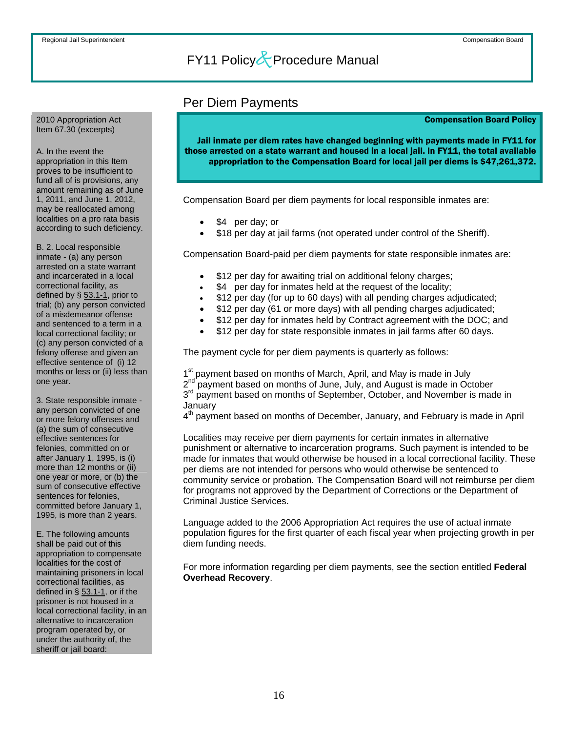### Per Diem Payments

#### Compensation Board Policy

Jail inmate per diem rates have changed beginning with payments made in FY11 for those arrested on a state warrant and housed in a local jail. In FY11, the total available appropriation to the Compensation Board for local jail per diems is \$47,261,372.

Compensation Board per diem payments for local responsible inmates are:

- \$4 per day; or
- \$18 per day at jail farms (not operated under control of the Sheriff).

Compensation Board-paid per diem payments for state responsible inmates are:

- \$12 per day for awaiting trial on additional felony charges;
- \$4 per day for inmates held at the request of the locality;
- \$12 per day (for up to 60 days) with all pending charges adjudicated;
- \$12 per day (61 or more days) with all pending charges adjudicated;
- \$12 per day for inmates held by Contract agreement with the DOC; and
- \$12 per day for state responsible inmates in jail farms after 60 days.

The payment cycle for per diem payments is quarterly as follows:

1<sup>st</sup> payment based on months of March, April, and May is made in July 2<sup>nd</sup> payment based on months of June, July, and August is made in October  $2^{nd}$  payment based on months of June, July, and August is made in October  $3^{rd}$  payment based on months of September, October, and November is made in January

4<sup>th</sup> payment based on months of December, January, and February is made in April

Localities may receive per diem payments for certain inmates in alternative punishment or alternative to incarceration programs. Such payment is intended to be made for inmates that would otherwise be housed in a local correctional facility. These per diems are not intended for persons who would otherwise be sentenced to community service or probation. The Compensation Board will not reimburse per diem for programs not approved by the Department of Corrections or the Department of Criminal Justice Services.

Language added to the 2006 Appropriation Act requires the use of actual inmate population figures for the first quarter of each fiscal year when projecting growth in per diem funding needs.

For more information regarding per diem payments, see the section entitled **Federal Overhead Recovery**.

<span id="page-16-0"></span>2010 Appropriation Act Item 67.30 (excerpts)

A. In the event the

appropriation in this Item proves to be insufficient to fund all of is provisions, any amount remaining as of June 1, 2011, and June 1, 2012, may be reallocated among localities on a pro rata basis according to such deficiency.

B. 2. Local responsible inmate - (a) any person arrested on a state warrant and incarcerated in a local correctional facility, as defined by  $\S$  53.1-1, prior to trial; (b) any person convicted of a misdemeanor offense and sentenced to a term in a local correctional facility; or (c) any person convicted of a felony offense and given an effective sentence of (i) 12 months or less or (ii) less than one year.

3. State responsible inmate any person convicted of one or more felony offenses and (a) the sum of consecutive effective sentences for felonies, committed on or after January 1, 1995, is (i) more than 12 months or (ii) one year or more, or (b) the sum of consecutive effective sentences for felonies, committed before January 1, 1995, is more than 2 years.

E. The following amounts shall be paid out of this appropriation to compensate localities for the cost of maintaining prisoners in local correctional facilities, as defined in  $\S$  53.1-1, or if the prisoner is not housed in a local correctional facility, in an alternative to incarceration program operated by, or under the authority of, the sheriff or jail board: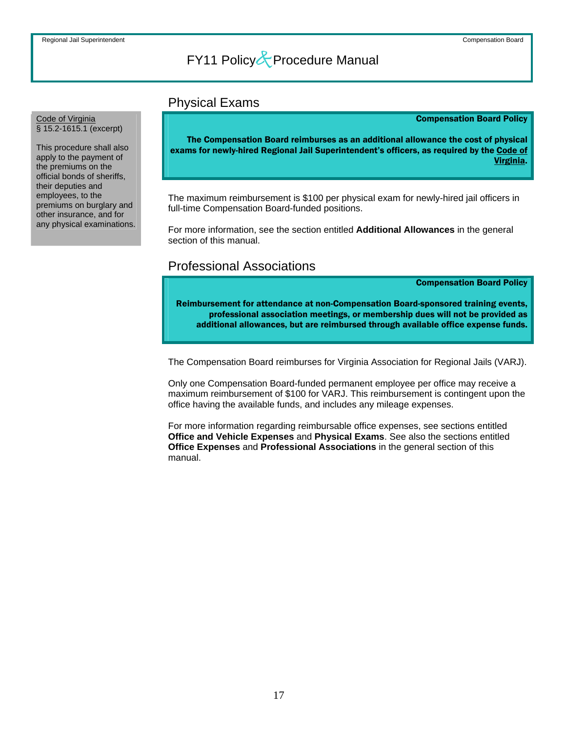### Physical Exams

#### Compensation Board Policy

The Compensation Board reimburses as an additional allowance the cost of physical exams for newly-hired Regional Jail Superintendent's officers, as required by the Code of Virginia.

The maximum reimbursement is \$100 per physical exam for newly-hired jail officers in full-time Compensation Board-funded positions.

For more information, see the section entitled **Additional Allowances** in the general section of this manual.

### Professional Associations

Compensation Board Policy

Reimbursement for attendance at non-Compensation Board-sponsored training events, professional association meetings, or membership dues will not be provided as additional allowances, but are reimbursed through available office expense funds.

The Compensation Board reimburses for Virginia Association for Regional Jails (VARJ).

Only one Compensation Board-funded permanent employee per office may receive a maximum reimbursement of \$100 for VARJ. This reimbursement is contingent upon the office having the available funds, and includes any mileage expenses.

For more information regarding reimbursable office expenses, see sections entitled **Office and Vehicle Expenses** and **Physical Exams**. See also the sections entitled **Office Expenses** and **Professional Associations** in the general section of this manual.

#### <span id="page-17-0"></span>Code of Virginia § 15.2-1615.1 (excerpt)

This procedure shall also apply to the payment of the premiums on the official bonds of sheriffs, their deputies and employees, to the premiums on burglary and other insurance, and for any physical examinations.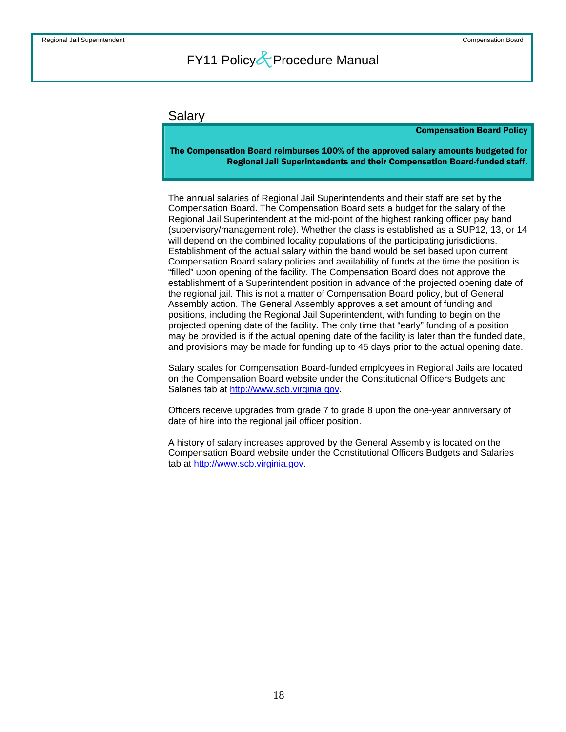#### <span id="page-18-0"></span>Salary

#### Compensation Board Policy

The Compensation Board reimburses 100% of the approved salary amounts budgeted for Regional Jail Superintendents and their Compensation Board-funded staff.

The annual salaries of Regional Jail Superintendents and their staff are set by the Compensation Board. The Compensation Board sets a budget for the salary of the Regional Jail Superintendent at the mid-point of the highest ranking officer pay band (supervisory/management role). Whether the class is established as a SUP12, 13, or 14 will depend on the combined locality populations of the participating jurisdictions. Establishment of the actual salary within the band would be set based upon current Compensation Board salary policies and availability of funds at the time the position is "filled" upon opening of the facility. The Compensation Board does not approve the establishment of a Superintendent position in advance of the projected opening date of the regional jail. This is not a matter of Compensation Board policy, but of General Assembly action. The General Assembly approves a set amount of funding and positions, including the Regional Jail Superintendent, with funding to begin on the projected opening date of the facility. The only time that "early" funding of a position may be provided is if the actual opening date of the facility is later than the funded date, and provisions may be made for funding up to 45 days prior to the actual opening date.

Salary scales for Compensation Board-funded employees in Regional Jails are located on the Compensation Board website under the Constitutional Officers Budgets and Salaries tab at [http://www.scb.virginia.gov](http://www.scb.virginia.gov/).

Officers receive upgrades from grade 7 to grade 8 upon the one-year anniversary of date of hire into the regional jail officer position.

A history of salary increases approved by the General Assembly is located on the Compensation Board website under the Constitutional Officers Budgets and Salaries tab at [http://www.scb.virginia.gov](http://www.scb.virginia.gov/).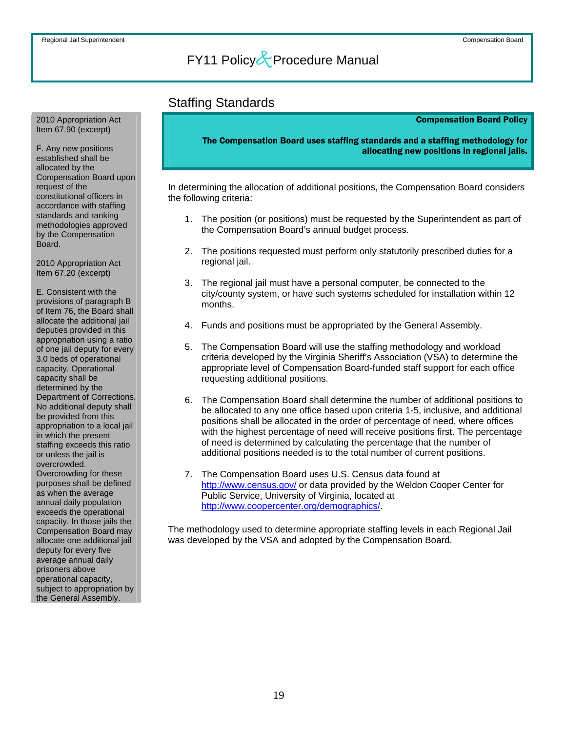### Staffing Standards

#### Compensation Board Policy

The Compensation Board uses staffing standards and a staffing methodology for allocating new positions in regional jails.

In determining the allocation of additional positions, the Compensation Board considers the following criteria:

- 1. The position (or positions) must be requested by the Superintendent as part of the Compensation Board's annual budget process.
- 2. The positions requested must perform only statutorily prescribed duties for a regional jail.
- 3. The regional jail must have a personal computer, be connected to the city/county system, or have such systems scheduled for installation within 12 months.
- 4. Funds and positions must be appropriated by the General Assembly.
- 5. The Compensation Board will use the staffing methodology and workload criteria developed by the Virginia Sheriff's Association (VSA) to determine the appropriate level of Compensation Board-funded staff support for each office requesting additional positions.
- 6. The Compensation Board shall determine the number of additional positions to be allocated to any one office based upon criteria 1-5, inclusive, and additional positions shall be allocated in the order of percentage of need, where offices with the highest percentage of need will receive positions first. The percentage of need is determined by calculating the percentage that the number of additional positions needed is to the total number of current positions.
- 7. The Compensation Board uses U.S. Census data found at <http://www.census.gov/>or data provided by the Weldon Cooper Center for Public Service, University of Virginia, located at <http://www.coopercenter.org/demographics/>.

The methodology used to determine appropriate staffing levels in each Regional Jail was developed by the VSA and adopted by the Compensation Board.

<span id="page-19-0"></span>2010 Appropriation Act Item 67.90 (excerpt)

F. Any new positions established shall be allocated by the Compensation Board upon request of the constitutional officers in accordance with staffing standards and ranking methodologies approved by the Compensation Board.

2010 Appropriation Act Item 67.20 (excerpt)

E. Consistent with the provisions of paragraph B of Item 76, the Board shall allocate the additional jail deputies provided in this appropriation using a ratio of one jail deputy for every 3.0 beds of operational capacity. Operational capacity shall be determined by the Department of Corrections. No additional deputy shall be provided from this appropriation to a local jail in which the present staffing exceeds this ratio or unless the jail is overcrowded. Overcrowding for these purposes shall be defined as when the average annual daily population exceeds the operational capacity. In those jails the Compensation Board may allocate one additional jail deputy for every five average annual daily prisoners above operational capacity, subject to appropriation by the General Assembly.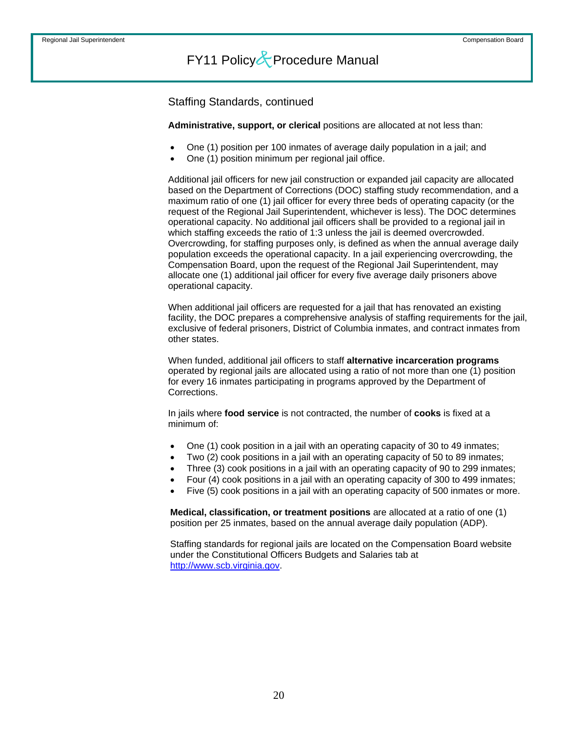Staffing Standards, continued

**Administrative, support, or clerical** positions are allocated at not less than:

- One (1) position per 100 inmates of average daily population in a jail; and
- One (1) position minimum per regional jail office.

Additional jail officers for new jail construction or expanded jail capacity are allocated based on the Department of Corrections (DOC) staffing study recommendation, and a maximum ratio of one (1) jail officer for every three beds of operating capacity (or the request of the Regional Jail Superintendent, whichever is less). The DOC determines operational capacity. No additional jail officers shall be provided to a regional jail in which staffing exceeds the ratio of 1:3 unless the jail is deemed overcrowded. Overcrowding, for staffing purposes only, is defined as when the annual average daily population exceeds the operational capacity. In a jail experiencing overcrowding, the Compensation Board, upon the request of the Regional Jail Superintendent, may allocate one (1) additional jail officer for every five average daily prisoners above operational capacity.

When additional jail officers are requested for a jail that has renovated an existing facility, the DOC prepares a comprehensive analysis of staffing requirements for the jail, exclusive of federal prisoners, District of Columbia inmates, and contract inmates from other states.

When funded, additional jail officers to staff **alternative incarceration programs** operated by regional jails are allocated using a ratio of not more than one (1) position for every 16 inmates participating in programs approved by the Department of Corrections.

In jails where **food service** is not contracted, the number of **cooks** is fixed at a minimum of:

- One (1) cook position in a jail with an operating capacity of 30 to 49 inmates;
- Two (2) cook positions in a jail with an operating capacity of 50 to 89 inmates;
- Three (3) cook positions in a jail with an operating capacity of 90 to 299 inmates;
- Four (4) cook positions in a jail with an operating capacity of 300 to 499 inmates;
- Five (5) cook positions in a jail with an operating capacity of 500 inmates or more.

**Medical, classification, or treatment positions** are allocated at a ratio of one (1) position per 25 inmates, based on the annual average daily population (ADP).

Staffing standards for regional jails are located on the Compensation Board website under the Constitutional Officers Budgets and Salaries tab at [http://www.scb.virginia.gov.](http://www.scb.virginia.gov/)